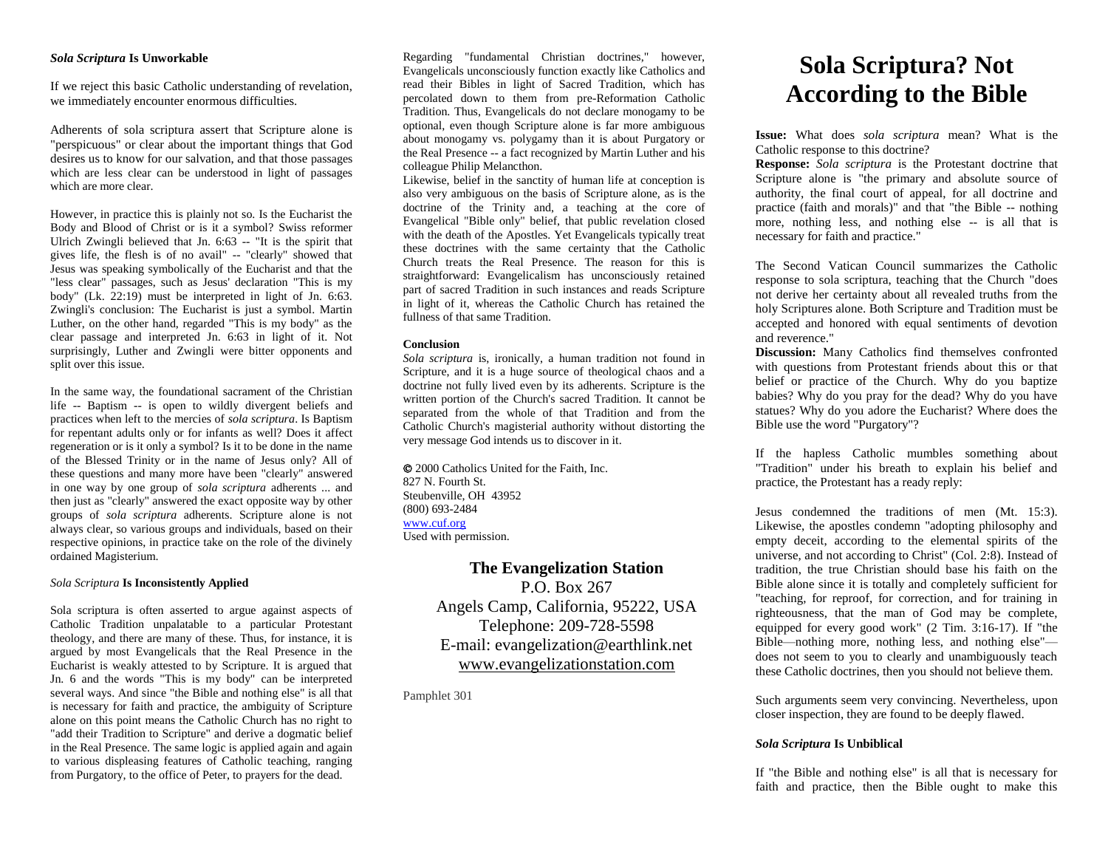## *Sola Scriptura* **Is Unworkable**

If we reject this basic Catholic understanding of revelation, we immediately encounter enormous difficulties.

Adherents of sola scriptura assert that Scripture alone is "perspicuous" or clear about the important things that God desires us to know for our salvation, and that those passages which are less clear can be understood in light of passages which are more clear.

However, in practice this is plainly not so. Is the Eucharist the Body and Blood of Christ or is it a symbol? Swiss reformer Ulrich Zwingli believed that Jn. 6:63 -- "It is the spirit that gives life, the flesh is of no avail" -- "clearly" showed that Jesus was speaking symbolically of the Eucharist and that the "less clear" passages, such as Jesus' declaration "This is my body" (Lk. 22:19) must be interpreted in light of Jn. 6:63. Zwingli's conclusion: The Eucharist is just a symbol. Martin Luther, on the other hand, regarded "This is my body" as the clear passage and interpreted Jn. 6:63 in light of it. Not surprisingly, Luther and Zwingli were bitter opponents and split over this issue.

In the same way, the foundational sacrament of the Christian life -- Baptism -- is open to wildly divergent beliefs and practices when left to the mercies of *sola scriptura*. Is Baptism for repentant adults only or for infants as well? Does it affect regeneration or is it only a symbol? Is it to be done in the name of the Blessed Trinity or in the name of Jesus only? All of these questions and many more have been "clearly" answered in one way by one group of *sola scriptura* adherents ... and then just as "clearly" answered the exact opposite way by other groups of *sola scriptura* adherents. Scripture alone is not always clear, so various groups and individuals, based on their respective opinions, in practice take on the role of the divinely ordained Magisterium.

## *Sola Scriptura* **Is Inconsistently Applied**

Sola scriptura is often asserted to argue against aspects of Catholic Tradition unpalatable to a particular Protestant theology, and there are many of these. Thus, for instance, it is argued by most Evangelicals that the Real Presence in the Eucharist is weakly attested to by Scripture. It is argued that Jn. 6 and the words "This is my body" can be interpreted several ways. And since "the Bible and nothing else" is all that is necessary for faith and practice, the ambiguity of Scripture alone on this point means the Catholic Church has no right to "add their Tradition to Scripture" and derive a dogmatic belief in the Real Presence. The same logic is applied again and again to various displeasing features of Catholic teaching, ranging from Purgatory, to the office of Peter, to prayers for the dead.

Regarding "fundamental Christian doctrines," however, Evangelicals unconsciously function exactly like Catholics and read their Bibles in light of Sacred Tradition, which has percolated down to them from pre-Reformation Catholic Tradition. Thus, Evangelicals do not declare monogamy to be optional, even though Scripture alone is far more ambiguous about monogamy vs. polygamy than it is about Purgatory or the Real Presence -- a fact recognized by Martin Luther and his colleague Philip Melancthon.

Likewise, belief in the sanctity of human life at conception is also very ambiguous on the basis of Scripture alone, as is the doctrine of the Trinity and, a teaching at the core of Evangelical "Bible only" belief, that public revelation closed with the death of the Apostles. Yet Evangelicals typically treat these doctrines with the same certainty that the Catholic Church treats the Real Presence. The reason for this is straightforward: Evangelicalism has unconsciously retained part of sacred Tradition in such instances and reads Scripture in light of it, whereas the Catholic Church has retained the fullness of that same Tradition.

#### **Conclusion**

*Sola scriptura* is, ironically, a human tradition not found in Scripture, and it is a huge source of theological chaos and a doctrine not fully lived even by its adherents. Scripture is the written portion of the Church's sacred Tradition. It cannot be separated from the whole of that Tradition and from the Catholic Church's magisterial authority without distorting the very message God intends us to discover in it.

 2000 Catholics United for the Faith, Inc. 827 N. Fourth St. Steubenville, OH 43952 (800) 693-2484 [www.cuf.org](http://www.cuf.org/) Used with permission.

## **The Evangelization Station**

P.O. Box 267 Angels Camp, California, 95222, USA Telephone: 209-728-5598 E-mail: evangelization@earthlink.net [www.evangelizationstation.com](http://www.pjpiisoe.org/)

Pamphlet 301

# **Sola Scriptura? Not According to the Bible**

**Issue:** What does *sola scriptura* mean? What is the Catholic response to this doctrine?

**Response:** *Sola scriptura* is the Protestant doctrine that Scripture alone is "the primary and absolute source of authority, the final court of appeal, for all doctrine and practice (faith and morals)" and that "the Bible -- nothing more, nothing less, and nothing else -- is all that is necessary for faith and practice."

The Second Vatican Council summarizes the Catholic response to sola scriptura, teaching that the Church "does not derive her certainty about all revealed truths from the holy Scriptures alone. Both Scripture and Tradition must be accepted and honored with equal sentiments of devotion and reverence."

**Discussion:** Many Catholics find themselves confronted with questions from Protestant friends about this or that belief or practice of the Church. Why do you baptize babies? Why do you pray for the dead? Why do you have statues? Why do you adore the Eucharist? Where does the Bible use the word "Purgatory"?

If the hapless Catholic mumbles something about "Tradition" under his breath to explain his belief and practice, the Protestant has a ready reply:

Jesus condemned the traditions of men (Mt. 15:3). Likewise, the apostles condemn "adopting philosophy and empty deceit, according to the elemental spirits of the universe, and not according to Christ" (Col. 2:8). Instead of tradition, the true Christian should base his faith on the Bible alone since it is totally and completely sufficient for "teaching, for reproof, for correction, and for training in righteousness, that the man of God may be complete, equipped for every good work" (2 Tim. 3:16-17). If "the Bible—nothing more, nothing less, and nothing else" does not seem to you to clearly and unambiguously teach these Catholic doctrines, then you should not believe them.

Such arguments seem very convincing. Nevertheless, upon closer inspection, they are found to be deeply flawed.

## *Sola Scriptura* **Is Unbiblical**

If "the Bible and nothing else" is all that is necessary for faith and practice, then the Bible ought to make this